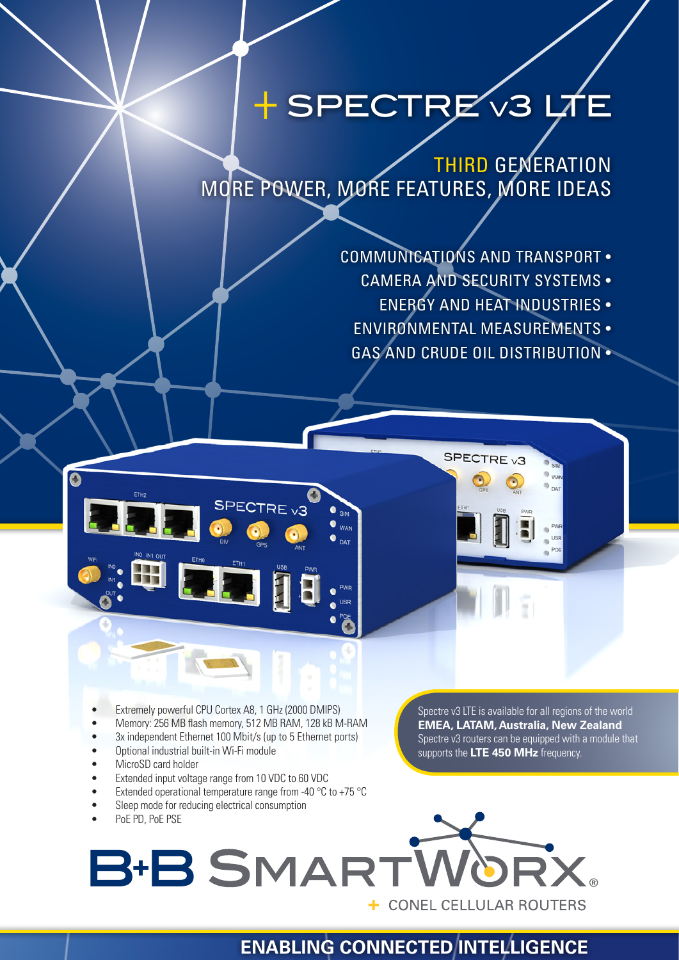# + SPECTRE v3 LT

THIRD GENERATION MORE POWER, MORE FEATURES, MORE IDEAS

- COMMUNICATIONS AND TRANSPORT
	- CAMERA AND SECURITY SYSTEMS
		- ENERGY AND HEAT INDUSTRIES •
	- ENVIRONMENTAL MEASUREMENTS •
	- GAS AND CRUDE OIL DISTRIBUTION •

SPECTRE<sub>v3</sub>

- Extremely powerful CPU Cortex A8, 1 GHz (2000 DMIPS)
- Memory: 256 MB flash memory, 512 MB RAM, 128 kB M-RAM

SPECTRE <sub>V3</sub>

- 3x independent Ethernet 100 Mbit/s (up to 5 Ethernet ports)
- Optional industrial built-in Wi-Fi module
- MicroSD card holder

Ő

- Extended input voltage range from 10 VDC to 60 VDC
- Extended operational temperature range from -40  $^{\circ}$ C to +75  $^{\circ}$ C
- Sleep mode for reducing electrical consumption

Spectre v3 LTE is available for all regions of the world **EMEA, LATAM, Australia, New Zealand** Spectre v3 routers can be equipped with a module that supports the **LTE 450 MHz** frequency.



**WAN**  $\bullet$  <sub>Dat</sub>

## **ENABLING CONNECTED INTELLIGENCE**